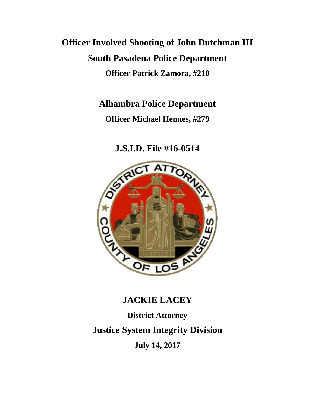## **Officer Involved Shooting of John Dutchman III South Pasadena Police Department Officer Patrick Zamora, #210**

### **Alhambra Police Department**

**Officer Michael Hennes, #279**

## **J.S.I.D. File #16-0514**



## **JACKIE LACEY**

# **District Attorney Justice System Integrity Division**

**July 14, 2017**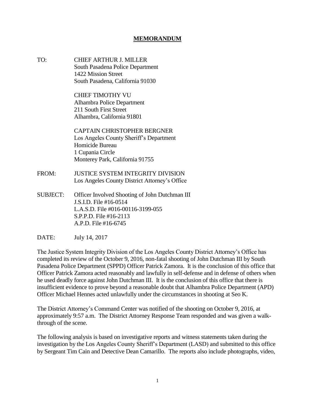#### **MEMORANDUM**

TO: CHIEF ARTHUR J. MILLER South Pasadena Police Department 1422 Mission Street South Pasadena, California 91030

> CHIEF TIMOTHY VU Alhambra Police Department 211 South First Street Alhambra, California 91801

CAPTAIN CHRISTOPHER BERGNER Los Angeles County Sheriff's Department Homicide Bureau 1 Cupania Circle Monterey Park, California 91755

- FROM: JUSTICE SYSTEM INTEGRITY DIVISION Los Angeles County District Attorney's Office
- SUBJECT: Officer Involved Shooting of John Dutchman III J.S.I.D. File #16-0514 L.A.S.D. File #016-00116-3199-055 S.P.P.D. File #16-2113 A.P.D. File #16-6745
- DATE: July 14, 2017

The Justice System Integrity Division of the Los Angeles County District Attorney's Office has completed its review of the October 9, 2016, non-fatal shooting of John Dutchman III by South Pasadena Police Department (SPPD) Officer Patrick Zamora. It is the conclusion of this office that Officer Patrick Zamora acted reasonably and lawfully in self-defense and in defense of others when he used deadly force against John Dutchman III. It is the conclusion of this office that there is insufficient evidence to prove beyond a reasonable doubt that Alhambra Police Department (APD) Officer Michael Hennes acted unlawfully under the circumstances in shooting at Seo K.

The District Attorney's Command Center was notified of the shooting on October 9, 2016, at approximately 9:57 a.m. The District Attorney Response Team responded and was given a walkthrough of the scene.

The following analysis is based on investigative reports and witness statements taken during the investigation by the Los Angeles County Sheriff's Department (LASD) and submitted to this office by Sergeant Tim Cain and Detective Dean Camarillo. The reports also include photographs, video,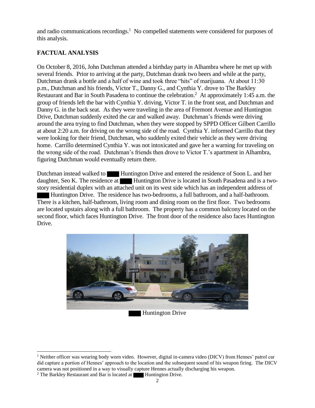and radio communications recordings.<sup>1</sup> No compelled statements were considered for purposes of this analysis.

#### **FACTUAL ANALYSIS**

On October 8, 2016, John Dutchman attended a birthday party in Alhambra where he met up with several friends. Prior to arriving at the party, Dutchman drank two beers and while at the party, Dutchman drank a bottle and a half of wine and took three "hits" of marijuana. At about 11:30 p.m., Dutchman and his friends, Victor T., Danny G., and Cynthia Y. drove to The Barkley Restaurant and Bar in South Pasadena to continue the celebration.<sup>2</sup> At approximately 1:45 a.m. the group of friends left the bar with Cynthia Y. driving, Victor T. in the front seat, and Dutchman and Danny G. in the back seat. As they were traveling in the area of Fremont Avenue and Huntington Drive, Dutchman suddenly exited the car and walked away. Dutchman's friends were driving around the area trying to find Dutchman, when they were stopped by SPPD Officer Gilbert Carrillo at about 2:20 a.m. for driving on the wrong side of the road. Cynthia Y. informed Carrillo that they were looking for their friend, Dutchman, who suddenly exited their vehicle as they were driving home. Carrillo determined Cynthia Y. was not intoxicated and gave her a warning for traveling on the wrong side of the road. Dutchman's friends then drove to Victor T.'s apartment in Alhambra, figuring Dutchman would eventually return there.

Dutchman instead walked to **Huntington Drive and entered the residence of Soon L.** and her daughter, Seo K. The residence at Huntington Drive is located in South Pasadena and is a twostory residential duplex with an attached unit on its west side which has an independent address of Huntington Drive. The residence has two-bedrooms, a full bathroom, and a half-bathroom. There is a kitchen, half-bathroom, living room and dining room on the first floor. Two bedrooms are located upstairs along with a full bathroom. The property has a common balcony located on the second floor, which faces Huntington Drive. The front door of the residence also faces Huntington Drive.



<sup>&</sup>lt;sup>1</sup> Neither officer was wearing body worn video. However, digital in-camera video (DICV) from Hennes' patrol car did capture a portion of Hennes' approach to the location and the subsequent sound of his weapon firing. The DICV camera was not positioned in a way to visually capture Hennes actually discharging his weapon.

<sup>&</sup>lt;sup>2</sup> The Barkley Restaurant and Bar is located at  $\blacksquare$  Huntington Drive.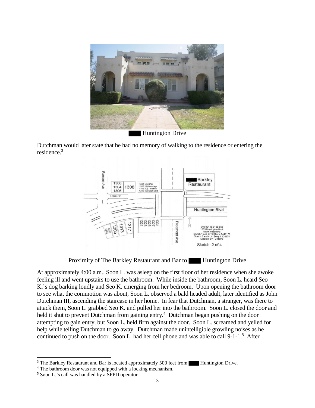

Huntington Drive

Dutchman would later state that he had no memory of walking to the residence or entering the residence.<sup>3</sup>



Proximity of The Barkley Restaurant and Bar to Huntington Drive

At approximately 4:00 a.m., Soon L. was asleep on the first floor of her residence when she awoke feeling ill and went upstairs to use the bathroom. While inside the bathroom, Soon L. heard Seo K.'s dog barking loudly and Seo K. emerging from her bedroom. Upon opening the bathroom door to see what the commotion was about, Soon L. observed a bald headed adult, later identified as John Dutchman III, ascending the staircase in her home. In fear that Dutchman, a stranger, was there to attack them, Soon L. grabbed Seo K. and pulled her into the bathroom. Soon L. closed the door and held it shut to prevent Dutchman from gaining entry.<sup>4</sup> Dutchman began pushing on the door attempting to gain entry, but Soon L. held firm against the door. Soon L. screamed and yelled for help while telling Dutchman to go away. Dutchman made unintelligible growling noises as he continued to push on the door. Soon L. had her cell phone and was able to call 9-1-1.<sup>5</sup> After

 $\overline{\phantom{a}}$  $3$  The Barkley Restaurant and Bar is located approximately 500 feet from Huntington Drive.

<sup>&</sup>lt;sup>4</sup> The bathroom door was not equipped with a locking mechanism.

<sup>5</sup> Soon L.'s call was handled by a SPPD operator.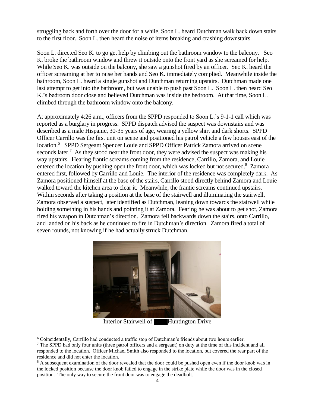struggling back and forth over the door for a while, Soon L. heard Dutchman walk back down stairs to the first floor. Soon L. then heard the noise of items breaking and crashing downstairs.

Soon L. directed Seo K. to go get help by climbing out the bathroom window to the balcony. Seo K. broke the bathroom window and threw it outside onto the front yard as she screamed for help. While Seo K. was outside on the balcony, she saw a gunshot fired by an officer. Seo K. heard the officer screaming at her to raise her hands and Seo K. immediately complied. Meanwhile inside the bathroom, Soon L. heard a single gunshot and Dutchman returning upstairs. Dutchman made one last attempt to get into the bathroom, but was unable to push past Soon L. Soon L. then heard Seo K.'s bedroom door close and believed Dutchman was inside the bedroom. At that time, Soon L. climbed through the bathroom window onto the balcony.

At approximately 4:26 a.m., officers from the SPPD responded to Soon L.'s 9-1-1 call which was reported as a burglary in progress. SPPD dispatch advised the suspect was downstairs and was described as a male Hispanic, 30-35 years of age, wearing a yellow shirt and dark shorts. SPPD Officer Carrillo was the first unit on scene and positioned his patrol vehicle a few houses east of the location.<sup>6</sup> SPPD Sergeant Spencer Louie and SPPD Officer Patrick Zamora arrived on scene seconds later.<sup>7</sup> As they stood near the front door, they were advised the suspect was making his way upstairs. Hearing frantic screams coming from the residence, Carrillo, Zamora, and Louie entered the location by pushing open the front door, which was locked but not secured.<sup>8</sup> Zamora entered first, followed by Carrillo and Louie. The interior of the residence was completely dark. As Zamora positioned himself at the base of the stairs, Carrillo stood directly behind Zamora and Louie walked toward the kitchen area to clear it. Meanwhile, the frantic screams continued upstairs. Within seconds after taking a position at the base of the stairwell and illuminating the stairwell, Zamora observed a suspect, later identified as Dutchman, leaning down towards the stairwell while holding something in his hands and pointing it at Zamora. Fearing he was about to get shot, Zamora fired his weapon in Dutchman's direction. Zamora fell backwards down the stairs, onto Carrillo, and landed on his back as he continued to fire in Dutchman's direction. Zamora fired a total of seven rounds, not knowing if he had actually struck Dutchman.



Interior Stairwell of **Huntington Drive** 

l

<sup>6</sup> Coincidentally, Carrillo had conducted a traffic stop of Dutchman's friends about two hours earlier.

<sup>7</sup> The SPPD had only four units (three patrol officers and a sergeant) on duty at the time of this incident and all responded to the location. Officer Michael Smith also responded to the location, but covered the rear part of the residence and did not enter the location.

<sup>&</sup>lt;sup>8</sup> A subsequent examination of the door revealed that the door could be pushed open even if the door knob was in the locked position because the door knob failed to engage in the strike plate while the door was in the closed position. The only way to secure the front door was to engage the deadbolt.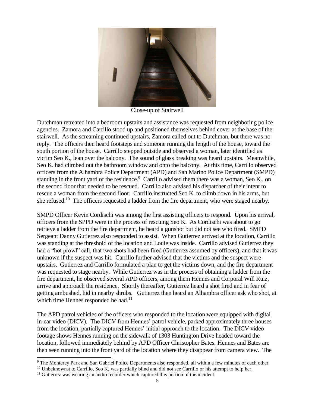

Close-up of Stairwell

Dutchman retreated into a bedroom upstairs and assistance was requested from neighboring police agencies. Zamora and Carrillo stood up and positioned themselves behind cover at the base of the stairwell. As the screaming continued upstairs, Zamora called out to Dutchman, but there was no reply. The officers then heard footsteps and someone running the length of the house, toward the south portion of the house. Carrillo stepped outside and observed a woman, later identified as victim Seo K., lean over the balcony. The sound of glass breaking was heard upstairs. Meanwhile, Seo K. had climbed out the bathroom window and onto the balcony. At this time, Carrillo observed officers from the Alhambra Police Department (APD) and San Marino Police Department (SMPD) standing in the front yard of the residence.<sup>9</sup> Carrillo advised them there was a woman, Seo K., on the second floor that needed to be rescued. Carrillo also advised his dispatcher of their intent to rescue a woman from the second floor. Carrillo instructed Seo K. to climb down in his arms, but she refused.<sup>10</sup> The officers requested a ladder from the fire department, who were staged nearby.

SMPD Officer Kevin Cordischi was among the first assisting officers to respond. Upon his arrival, officers from the SPPD were in the process of rescuing Seo K. As Cordischi was about to go retrieve a ladder from the fire department, he heard a gunshot but did not see who fired. SMPD Sergeant Danny Gutierrez also responded to assist. When Gutierrez arrived at the location, Carrillo was standing at the threshold of the location and Louie was inside. Carrillo advised Gutierrez they had a "hot prowl" call, that two shots had been fired (Gutierrez assumed by officers), and that it was unknown if the suspect was hit. Carrillo further advised that the victims and the suspect were upstairs. Gutierrez and Carrillo formulated a plan to get the victims down, and the fire department was requested to stage nearby. While Gutierrez was in the process of obtaining a ladder from the fire department, he observed several APD officers, among them Hennes and Corporal Will Ruiz, arrive and approach the residence. Shortly thereafter, Gutierrez heard a shot fired and in fear of getting ambushed, hid in nearby shrubs. Gutierrez then heard an Alhambra officer ask who shot, at which time Hennes responded he had.<sup>11</sup>

The APD patrol vehicles of the officers who responded to the location were equipped with digital in-car video (DICV). The DICV from Hennes' patrol vehicle, parked approximately three houses from the location, partially captured Hennes' initial approach to the location. The DICV video footage shows Hennes running on the sidewalk of 1303 Huntington Drive headed toward the location, followed immediately behind by APD Officer Christopher Bates. Hennes and Bates are then seen running into the front yard of the location where they disappear from camera view. The

<sup>&</sup>lt;sup>9</sup> The Monterey Park and San Gabriel Police Departments also responded, all within a few minutes of each other.

<sup>&</sup>lt;sup>10</sup> Unbeknownst to Carrillo, Seo K. was partially blind and did not see Carrillo or his attempt to help her.

<sup>&</sup>lt;sup>11</sup> Gutierrez was wearing an audio recorder which captured this portion of the incident.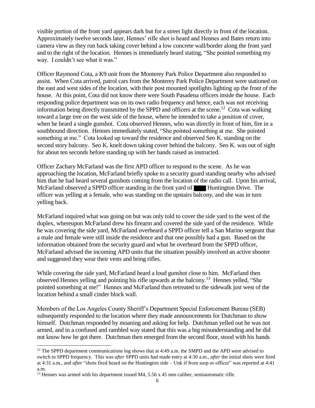visible portion of the front yard appears dark but for a street light directly in front of the location. Approximately twelve seconds later, Hennes' rifle shot is heard and Hennes and Bates return into camera view as they run back taking cover behind a low concrete wall/border along the front yard and to the right of the location. Hennes is immediately heard stating, "She pointed something my way. I couldn't see what it was."

Officer Raymond Cota, a K9 unit from the Monterey Park Police Department also responded to assist. When Cota arrived, patrol cars from the Monterey Park Police Department were stationed on the east and west sides of the location, with their post mounted spotlights lighting up the front of the house. At this point, Cota did not know there were South Pasadena officers inside the house. Each responding police department was on its own radio frequency and hence, each was not receiving information being directly transmitted by the SPPD and officers at the scene.<sup>12</sup> Cota was walking toward a large tree on the west side of the house, where he intended to take a position of cover, when he heard a single gunshot. Cota observed Hennes, who was directly in front of him, fire in a southbound direction. Hennes immediately stated, "She pointed something at me. She pointed something at me." Cota looked up toward the residence and observed Seo K. standing on the second story balcony. Seo K. knelt down taking cover behind the balcony. Seo K. was out of sight for about ten seconds before standing up with her hands raised as instructed.

Officer Zachary McFarland was the first APD officer to respond to the scene. As he was approaching the location, McFarland briefly spoke to a security guard standing nearby who advised him that he had heard several gunshots coming from the location of the radio call. Upon his arrival, McFarland observed a SPPD officer standing in the front yard of Huntington Drive. The officer was yelling at a female, who was standing on the upstairs balcony, and she was in turn yelling back.

McFarland inquired what was going on but was only told to cover the side yard to the west of the duplex, whereupon McFarland drew his firearm and covered the side yard of the residence. While he was covering the side yard, McFarland overheard a SPPD officer tell a San Marino sergeant that a male and female were still inside the residence and that one possibly had a gun. Based on the information obtained from the security guard and what he overheard from the SPPD officer, McFarland advised the incoming APD units that the situation possibly involved an active shooter and suggested they wear their vests and bring rifles.

While covering the side yard, McFarland heard a loud gunshot close to him. McFarland then observed Hennes yelling and pointing his rifle upwards at the balcony.<sup>13</sup> Hennes yelled, "She pointed something at me!" Hennes and McFarland then retreated to the sidewalk just west of the location behind a small cinder block wall.

Members of the Los Angeles County Sheriff's Department Special Enforcement Bureau (SEB) subsequently responded to the location where they made announcements for Dutchman to show himself. Dutchman responded by moaning and asking for help. Dutchman yelled out he was not armed, and in a confused and rambled way stated that this was a big misunderstanding and he did not know how he got there. Dutchman then emerged from the second floor, stood with his hands

<sup>&</sup>lt;sup>12</sup> The SPPD department communications log shows that at 4:49 a.m. the SMPD and the APD were advised to switch to SPPD frequency. This was *after* SPPD units had made entry at 4:30 a.m., *after* the initial shots were fired at 4:31 a.m., and *after* "shots fired heard on the Huntington side – Unk if from susp or officer" was reported at 4:41 a.m.

<sup>&</sup>lt;sup>13</sup> Hennes was armed with his department issued M4,  $5.56 \times 45$  mm caliber, semiautomatic rifle.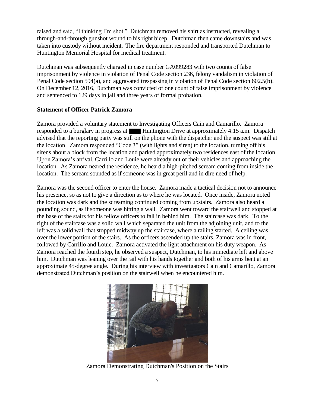raised and said, "I thinking I'm shot." Dutchman removed his shirt as instructed, revealing a through-and-through gunshot wound to his right bicep. Dutchman then came downstairs and was taken into custody without incident. The fire department responded and transported Dutchman to Huntington Memorial Hospital for medical treatment.

Dutchman was subsequently charged in case number GA099283 with two counts of false imprisonment by violence in violation of Penal Code section 236, felony vandalism in violation of Penal Code section 594(a), and aggravated trespassing in violation of Penal Code section 602.5(b). On December 12, 2016, Dutchman was convicted of one count of false imprisonment by violence and sentenced to 129 days in jail and three years of formal probation.

#### **Statement of Officer Patrick Zamora**

Zamora provided a voluntary statement to Investigating Officers Cain and Camarillo. Zamora responded to a burglary in progress at Huntington Drive at approximately 4:15 a.m. Dispatch advised that the reporting party was still on the phone with the dispatcher and the suspect was still at the location. Zamora responded "Code 3" (with lights and siren) to the location, turning off his sirens about a block from the location and parked approximately two residences east of the location. Upon Zamora's arrival, Carrillo and Louie were already out of their vehicles and approaching the location. As Zamora neared the residence, he heard a high-pitched scream coming from inside the location. The scream sounded as if someone was in great peril and in dire need of help.

Zamora was the second officer to enter the house. Zamora made a tactical decision not to announce his presence, so as not to give a direction as to where he was located. Once inside, Zamora noted the location was dark and the screaming continued coming from upstairs. Zamora also heard a pounding sound, as if someone was hitting a wall. Zamora went toward the stairwell and stopped at the base of the stairs for his fellow officers to fall in behind him. The staircase was dark. To the right of the staircase was a solid wall which separated the unit from the adjoining unit, and to the left was a solid wall that stopped midway up the staircase, where a railing started. A ceiling was over the lower portion of the stairs. As the officers ascended up the stairs, Zamora was in front, followed by Carrillo and Louie. Zamora activated the light attachment on his duty weapon. As Zamora reached the fourth step, he observed a suspect, Dutchman, to his immediate left and above him. Dutchman was leaning over the rail with his hands together and both of his arms bent at an approximate 45-degree angle. During his interview with investigators Cain and Camarillo, Zamora demonstrated Dutchman's position on the stairwell when he encountered him.



Zamora Demonstrating Dutchman's Position on the Stairs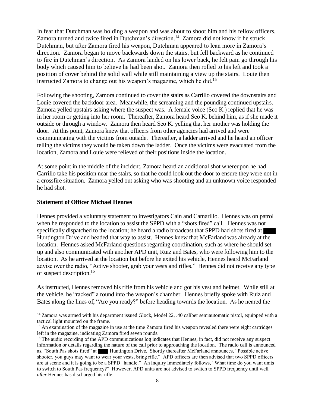In fear that Dutchman was holding a weapon and was about to shoot him and his fellow officers, Zamora turned and twice fired in Dutchman's direction.<sup>14</sup> Zamora did not know if he struck Dutchman, but after Zamora fired his weapon, Dutchman appeared to lean more in Zamora's direction. Zamora began to move backwards down the stairs, but fell backward as he continued to fire in Dutchman's direction. As Zamora landed on his lower back, he felt pain go through his body which caused him to believe he had been shot. Zamora then rolled to his left and took a position of cover behind the solid wall while still maintaining a view up the stairs. Louie then instructed Zamora to change out his weapon's magazine, which he did.<sup>15</sup>

Following the shooting, Zamora continued to cover the stairs as Carrillo covered the downstairs and Louie covered the backdoor area. Meanwhile, the screaming and the pounding continued upstairs. Zamora yelled upstairs asking where the suspect was. A female voice (Seo K.) replied that he was in her room or getting into her room. Thereafter, Zamora heard Seo K. behind him, as if she made it outside or through a window. Zamora then heard Seo K. yelling that her mother was holding the door. At this point, Zamora knew that officers from other agencies had arrived and were communicating with the victims from outside. Thereafter, a ladder arrived and he heard an officer telling the victims they would be taken down the ladder. Once the victims were evacuated from the location, Zamora and Louie were relieved of their positions inside the location.

At some point in the middle of the incident, Zamora heard an additional shot whereupon he had Carrillo take his position near the stairs, so that he could look out the door to ensure they were not in a crossfire situation. Zamora yelled out asking who was shooting and an unknown voice responded he had shot.

#### **Statement of Officer Michael Hennes**

 $\overline{\phantom{a}}$ 

Hennes provided a voluntary statement to investigators Cain and Camarillo. Hennes was on patrol when he responded to the location to assist the SPPD with a "shots fired" call. Hennes was not specifically dispatched to the location; he heard a radio broadcast that SPPD had shots fired at Huntington Drive and headed that way to assist. Hennes knew that McFarland was already at the location. Hennes asked McFarland questions regarding coordination, such as where he should set up and also communicated with another APD unit, Ruiz and Bates, who were following him to the location. As he arrived at the location but before he exited his vehicle, Hennes heard McFarland advise over the radio, "Active shooter, grab your vests and rifles." Hennes did not receive any type of suspect description. 16

As instructed, Hennes removed his rifle from his vehicle and got his vest and helmet. While still at the vehicle, he "racked" a round into the weapon's chamber. Hennes briefly spoke with Ruiz and Bates along the lines of, "Are you ready?" before heading towards the location. As he neared the

<sup>&</sup>lt;sup>14</sup> Zamora was armed with his department issued Glock, Model 22, .40 caliber semiautomatic pistol, equipped with a tactical light mounted on the frame.

<sup>&</sup>lt;sup>15</sup> An examination of the magazine in use at the time Zamora fired his weapon revealed there were eight cartridges left in the magazine, indicating Zamora fired seven rounds.

<sup>&</sup>lt;sup>16</sup> The audio recording of the APD communications log indicates that Hennes, in fact, did not receive any suspect information or details regarding the nature of the call prior to approaching the location. The radio call is announced as, "South Pas shots fired" at Huntington Drive. Shortly thereafter McFarland announces, "Possible active shooter, you guys may want to wear your vests, bring rifle." APD officers are then advised that two SPPD officers are at scene and it is going to be a SPPD "handle." An inquiry immediately follows, "What time do you want units to switch to South Pas frequency?" However, APD units are not advised to switch to SPPD frequency until well *after* Hennes has discharged his rifle.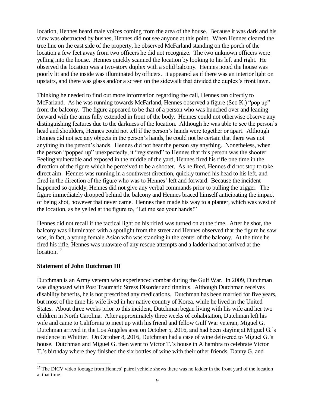location, Hennes heard male voices coming from the area of the house. Because it was dark and his view was obstructed by bushes, Hennes did not see anyone at this point. When Hennes cleared the tree line on the east side of the property, he observed McFarland standing on the porch of the location a few feet away from two officers he did not recognize. The two unknown officers were yelling into the house. Hennes quickly scanned the location by looking to his left and right. He observed the location was a two-story duplex with a solid balcony. Hennes noted the house was poorly lit and the inside was illuminated by officers. It appeared as if there was an interior light on upstairs, and there was glass and/or a screen on the sidewalk that divided the duplex's front lawn.

Thinking he needed to find out more information regarding the call, Hennes ran directly to McFarland. As he was running towards McFarland, Hennes observed a figure (Seo K.) "pop up" from the balcony. The figure appeared to be that of a person who was hunched over and leaning forward with the arms fully extended in front of the body. Hennes could not otherwise observe any distinguishing features due to the darkness of the location. Although he was able to see the person's head and shoulders, Hennes could not tell if the person's hands were together or apart. Although Hennes did not see any objects in the person's hands, he could not be certain that there was not anything in the person's hands. Hennes did not hear the person say anything. Nonetheless, when the person "popped up" unexpectedly, it "registered" to Hennes that this person was the shooter. Feeling vulnerable and exposed in the middle of the yard, Hennes fired his rifle one time in the direction of the figure which he perceived to be a shooter. As he fired, Hennes did not stop to take direct aim. Hennes was running in a southwest direction, quickly turned his head to his left, and fired in the direction of the figure who was to Hennes' left and forward. Because the incident happened so quickly, Hennes did not give any verbal commands prior to pulling the trigger. The figure immediately dropped behind the balcony and Hennes braced himself anticipating the impact of being shot, however that never came. Hennes then made his way to a planter, which was west of the location, as he yelled at the figure to, "Let me see your hands!"

Hennes did not recall if the tactical light on his rifled was turned on at the time. After he shot, the balcony was illuminated with a spotlight from the street and Hennes observed that the figure he saw was, in fact, a young female Asian who was standing in the center of the balcony. At the time he fired his rifle, Hennes was unaware of any rescue attempts and a ladder had not arrived at the location.<sup>17</sup>

#### **Statement of John Dutchman III**

 $\overline{\phantom{a}}$ 

Dutchman is an Army veteran who experienced combat during the Gulf War. In 2009, Dutchman was diagnosed with Post Traumatic Stress Disorder and tinnitus. Although Dutchman receives disability benefits, he is not prescribed any medications. Dutchman has been married for five years, but most of the time his wife lived in her native country of Korea, while he lived in the United States. About three weeks prior to this incident, Dutchman began living with his wife and her two children in North Carolina. After approximately three weeks of cohabitation, Dutchman left his wife and came to California to meet up with his friend and fellow Gulf War veteran, Miguel G. Dutchman arrived in the Los Angeles area on October 5, 2016, and had been staying at Miguel G.'s residence in Whittier. On October 8, 2016, Dutchman had a case of wine delivered to Miguel G.'s house. Dutchman and Miguel G. then went to Victor T.'s house in Alhambra to celebrate Victor T.'s birthday where they finished the six bottles of wine with their other friends, Danny G. and

<sup>&</sup>lt;sup>17</sup> The DICV video footage from Hennes' patrol vehicle shows there was no ladder in the front yard of the location at that time.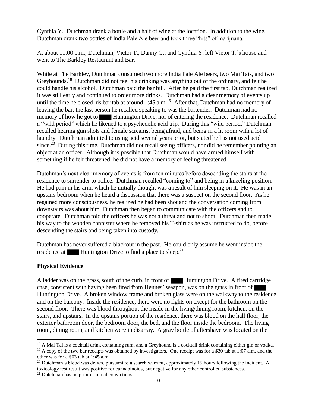Cynthia Y. Dutchman drank a bottle and a half of wine at the location. In addition to the wine, Dutchman drank two bottles of India Pale Ale beer and took three "hits" of marijuana.

At about 11:00 p.m., Dutchman, Victor T., Danny G., and Cynthia Y. left Victor T.'s house and went to The Barkley Restaurant and Bar.

While at The Barkley, Dutchman consumed two more India Pale Ale beers, two Mai Tais, and two Greyhounds.<sup>18</sup> Dutchman did not feel his drinking was anything out of the ordinary, and felt he could handle his alcohol. Dutchman paid the bar bill. After he paid the first tab, Dutchman realized it was still early and continued to order more drinks. Dutchman had a clear memory of events up until the time he closed his bar tab at around  $1:45$  a.m.<sup>19</sup> After that, Dutchman had no memory of leaving the bar; the last person he recalled speaking to was the bartender. Dutchman had no memory of how he got to **Huntington Drive**, nor of entering the residence. Dutchman recalled a "wild period" which he likened to a psychedelic acid trip. During this "wild period," Dutchman recalled hearing gun shots and female screams, being afraid, and being in a lit room with a lot of laundry. Dutchman admitted to using acid several years prior, but stated he has not used acid since.<sup>20</sup> During this time, Dutchman did not recall seeing officers, nor did he remember pointing an object at an officer. Although it is possible that Dutchman would have armed himself with something if he felt threatened, he did not have a memory of feeling threatened.

Dutchman's next clear memory of events is from ten minutes before descending the stairs at the residence to surrender to police. Dutchman recalled "coming to" and being in a kneeling position. He had pain in his arm, which he initially thought was a result of him sleeping on it. He was in an upstairs bedroom when he heard a discussion that there was a suspect on the second floor. As he regained more consciousness, he realized he had been shot and the conversation coming from downstairs was about him. Dutchman then began to communicate with the officers and to cooperate. Dutchman told the officers he was not a threat and not to shoot. Dutchman then made his way to the wooden bannister where he removed his T-shirt as he was instructed to do, before descending the stairs and being taken into custody.

Dutchman has never suffered a blackout in the past. He could only assume he went inside the residence at Huntington Drive to find a place to sleep.<sup>21</sup>

#### **Physical Evidence**

 $\overline{a}$ 

A ladder was on the grass, south of the curb, in front of Huntington Drive. A fired cartridge case, consistent with having been fired from Hennes' weapon, was on the grass in front of Huntington Drive. A broken window frame and broken glass were on the walkway to the residence and on the balcony. Inside the residence, there were no lights on except for the bathroom on the second floor. There was blood throughout the inside in the living/dining room, kitchen, on the stairs, and upstairs. In the upstairs portion of the residence, there was blood on the hall floor, the exterior bathroom door, the bedroom door, the bed, and the floor inside the bedroom. The living room, dining room, and kitchen were in disarray. A gray bottle of aftershave was located on the

<sup>&</sup>lt;sup>18</sup> A Mai Tai is a cocktail drink containing rum, and a Greyhound is a cocktail drink containing either gin or vodka.  $19$  A copy of the two bar receipts was obtained by investigators. One receipt was for a \$30 tab at 1:07 a.m. and the other was for a \$63 tab at 1:45 a.m.

<sup>&</sup>lt;sup>20</sup> Dutchman's blood was drawn, pursuant to a search warrant, approximately 15 hours following the incident. A toxicology test result was positive for cannabinoids, but negative for any other controlled substances.

<sup>21</sup> Dutchman has no prior criminal convictions.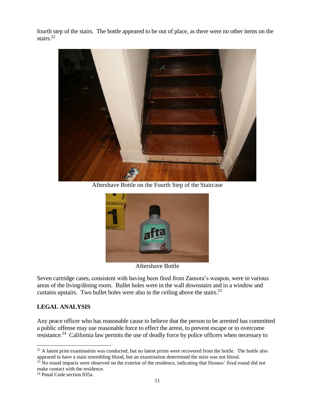fourth step of the stairs. The bottle appeared to be out of place, as there were no other items on the stairs.<sup>22</sup>



Aftershave Bottle on the Fourth Step of the Staircase



Aftershave Bottle

Seven cartridge cases, consistent with having been fired from Zamora's weapon, were in various areas of the living/dining room. Bullet holes were in the wall downstairs and in a window and curtains upstairs. Two bullet holes were also in the ceiling above the stairs. $^{23}$ 

#### **LEGAL ANALYSIS**

Any peace officer who has reasonable cause to believe that the person to be arrested has committed a public offense may use reasonable force to effect the arrest, to prevent escape or to overcome resistance.<sup>24</sup> California law permits the use of deadly force by police officers when necessary to

 $^{22}$  A latent print examination was conducted, but no latent prints were recovered from the bottle. The bottle also appeared to have a stain resembling blood, but an examination determined the stain was not blood.

<sup>&</sup>lt;sup>23</sup> No round impacts were observed on the exterior of the residence, indicating that Hennes' fired round did not make contact with the residence.

<sup>24</sup> Penal Code section 835a.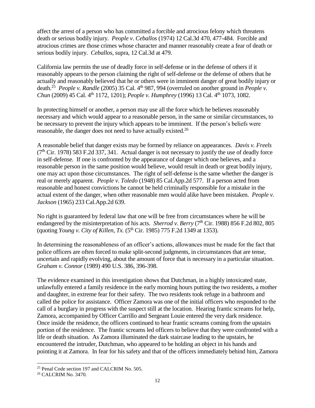affect the arrest of a person who has committed a forcible and atrocious felony which threatens death or serious bodily injury. *People v. Ceballos* (1974) 12 Cal.3d 470, 477-484. Forcible and atrocious crimes are those crimes whose character and manner reasonably create a fear of death or serious bodily injury. *Ceballos*, supra, 12 Cal.3d at 479.

California law permits the use of deadly force in self-defense or in the defense of others if it reasonably appears to the person claiming the right of self-defense or the defense of others that he actually and reasonably believed that he or others were in imminent danger of great bodily injury or death.<sup>25</sup> People v. Randle (2005) 35 Cal. 4<sup>th</sup> 987, 994 (overruled on another ground in *People v. Chun* (2009) 45 Cal. 4<sup>th</sup> 1172, 1201); *People v. Humphrey* (1996) 13 Cal. 4<sup>th</sup> 1073, 1082.

In protecting himself or another, a person may use all the force which he believes reasonably necessary and which would appear to a reasonable person, in the same or similar circumstances, to be necessary to prevent the injury which appears to be imminent. If the person's beliefs were reasonable, the danger does not need to have actually existed.<sup>26</sup>

A reasonable belief that danger exists may be formed by reliance on appearances. *Davis v. Freels*  $(7<sup>th</sup> Cir. 1978)$  583 F.2d 337, 341. Actual danger is not necessary to justify the use of deadly force in self-defense. If one is confronted by the appearance of danger which one believes, and a reasonable person in the same position would believe, would result in death or great bodily injury, one may act upon those circumstances. The right of self-defense is the same whether the danger is real or merely apparent. *People v. Toledo* (1948) 85 Cal.App.2d 577. If a person acted from reasonable and honest convictions he cannot be held criminally responsible for a mistake in the actual extent of the danger, when other reasonable men would alike have been mistaken. *People v. Jackson* (1965) 233 Cal.App.2d 639.

No right is guaranteed by federal law that one will be free from circumstances where he will be endangered by the misinterpretation of his acts. *Sherrod v. Berry* ( $7<sup>th</sup>$  Cir. 1988) 856 F.2d 802, 805 (quoting *Young v. City of Killen, Tx.* (5<sup>th</sup> Cir. 1985) 775 F.2d 1349 at 1353).

In determining the reasonableness of an officer's actions, allowances must be made for the fact that police officers are often forced to make split-second judgments, in circumstances that are tense, uncertain and rapidly evolving, about the amount of force that is necessary in a particular situation. *Graham v. Connor* (1989) 490 U.S. 386, 396-398.

The evidence examined in this investigation shows that Dutchman, in a highly intoxicated state, unlawfully entered a family residence in the early morning hours putting the two residents, a mother and daughter, in extreme fear for their safety. The two residents took refuge in a bathroom and called the police for assistance. Officer Zamora was one of the initial officers who responded to the call of a burglary in progress with the suspect still at the location. Hearing frantic screams for help, Zamora, accompanied by Officer Carrillo and Sergeant Louie entered the very dark residence. Once inside the residence, the officers continued to hear frantic screams coming from the upstairs portion of the residence. The frantic screams led officers to believe that they were confronted with a life or death situation. As Zamora illuminated the dark staircase leading to the upstairs, he encountered the intruder, Dutchman, who appeared to be holding an object in his hands and pointing it at Zamora. In fear for his safety and that of the officers immediately behind him, Zamora

<sup>&</sup>lt;sup>25</sup> Penal Code section 197 and CALCRIM No. 505.

<sup>26</sup> CALCRIM No. 3470.